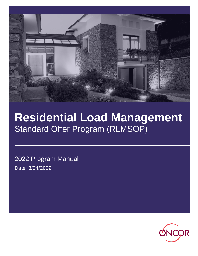

# **Residential Load Management** Standard Offer Program (RLMSOP)

2022 Program Manual Date: 3/24/2022

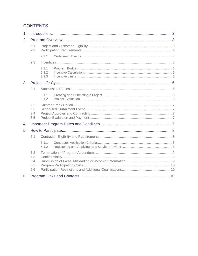# **CONTENTS**

| 1 |                          |                         |  |  |  |  |
|---|--------------------------|-------------------------|--|--|--|--|
| 2 |                          |                         |  |  |  |  |
|   | 2.1<br>2.2               |                         |  |  |  |  |
|   |                          | 2.2.1                   |  |  |  |  |
|   | 2.3                      |                         |  |  |  |  |
|   |                          | 2.3.1<br>2.3.2<br>2.3.3 |  |  |  |  |
| 3 |                          |                         |  |  |  |  |
|   | 3.1                      |                         |  |  |  |  |
|   |                          | 3.1.1<br>3.1.2          |  |  |  |  |
|   | 3.2<br>3.3<br>3.4<br>3.5 |                         |  |  |  |  |
| 4 |                          |                         |  |  |  |  |
| 5 |                          |                         |  |  |  |  |
|   | 5.1                      |                         |  |  |  |  |
|   |                          | 5.1.1<br>5.1.2          |  |  |  |  |
|   | 5.2<br>5.3<br>5.4<br>5.5 |                         |  |  |  |  |
|   | 5.6                      |                         |  |  |  |  |
| 6 |                          |                         |  |  |  |  |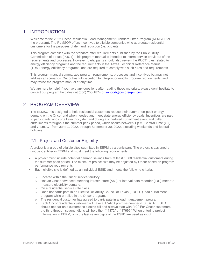# <span id="page-2-0"></span>1 INTRODUCTION

Welcome to the 2022 Oncor Residential Load Management Standard Offer Program (RLMSOP or the program). The RLMSOP offers incentives to eligible companies who aggregate residential customers for the purposes of demand reduction (participants).

This program complies with the standard offer requirements published by the Public Utility Commission of Texas (PUCT). This program manual is intended to inform service providers of the requirements and processes. However, participants should also review the PUCT rules related to energy efficiency programs and the requirements in the Texas Technical Reference Manual (TRM) energy efficiency programs, and are required to comply with such rules and requirements.

This program manual summarizes program requirements, processes and incentives but may not address all scenarios. Oncor has full discretion to interpret or modify program requirements, and may revise the program manual at any time.

We are here to help! If you have any questions after reading these materials, please don't hesitate to contact our program help desk at (866) 258-1874 or [support@oncoreepm.com.](mailto:support@oncoreepm.com)

# <span id="page-2-1"></span>2 PROGRAM OVERVIEW

The RLMSOP is designed to help residential customers reduce their summer on-peak energy demand on the Oncor grid when needed and meet state energy efficiency goals. Incentives are paid to participants who curtail electricity demand during a scheduled curtailment event and called curtailments throughout the summer peak period, which occurs between 1 p.m. Central Time (CT) and 7 p.m. CT from June 1, 2022, through September 30, 2022, excluding weekends and federal holidays.

## <span id="page-2-2"></span>2.1 Project and Customer Eligibility

A project is a group of eligible sites submitted in EEPM by a participant. The project is assigned a unique identifier in EEPM and must meet the following requirements:

- A project must include potential demand savings from at least 1,000 residential customers during the summer peak period. The minimum project size may be adjusted by Oncor based on program performance requirements.
- Each eligible site is defined as an individual ESIID and meets the following criteria:
	- o Located within the Oncor service territory.
	- o Has an Oncor advanced metering infrastructure (AMI) or interval data recorder (IDR) meter to measure electricity demand.
	- o On a residential service rate class.
	- o Does not participate in an Electric Reliability Council of Texas (ERCOT) load curtailment program while enrolled in the Oncor program.
	- o The residential customer has agreed to participate in a load management program.
	- o Each Oncor residential customer will have a 17-digit premise number (ESIID). An ESIID should appear on a customer's electric bill and always start with "10." For Oncor customers, the third through seventh digits will be either "44372" or "17699." When entering project information in EEPM, only the last seven digits of the ESIID are used as input.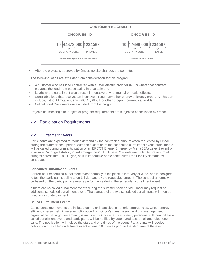| <b>CUSTOMER ELIGIBILITY</b>                                         |                                                       |  |  |  |
|---------------------------------------------------------------------|-------------------------------------------------------|--|--|--|
| <b>ONCOR ESI ID</b>                                                 | <b>ONCOR ESI ID</b>                                   |  |  |  |
| 10 44372 000 1234567                                                | 10   17699   000   1234567                            |  |  |  |
| COMPANY CODE<br><b>PREMISE</b><br>Found throughout the service area | COMPANY CODE<br><b>PREMISE</b><br>Found in East Texas |  |  |  |

After the project is approved by Oncor, no site changes are permitted.

The following loads are excluded from consideration for this program:

- A customer who has load contracted with a retail electric provider (REP) where that contract prevents the load from participating in a curtailment.
- Loads where curtailment would result in negative environmental or health effects.
- Curtailable load that receives an incentive through any other energy efficiency program. This can include, without limitation, any ERCOT, PUCT or other program currently available.
- Critical Load Customers are excluded from the program.

Projects not meeting site, project or program requirements are subject to cancellation by Oncor.

## <span id="page-3-0"></span>2.2 Participation Requirements

#### <span id="page-3-1"></span>*2.2.1 Curtailment Events*

Participants are expected to reduce demand by the contracted amount when requested by Oncor during the summer peak period. With the exception of the scheduled curtailment event, curtailments will be called during or in anticipation of an ERCOT Energy Emergency Alert (EEA) Level 2 event or to assure Oncor grid stability ("grid emergencies"). EEA Level 2 events are called to prevent rotating outages across the ERCOT grid, so it is imperative participants curtail their facility demand as contracted.

#### **Scheduled Curtailment Events**

A three-hour scheduled curtailment event normally takes place in late May or June, and is designed to test the participant's ability to curtail demand by the requested amount. The contract amount will be based on the participant's average performance during the scheduled curtailment event.

If there are no called curtailment events during the summer peak period, Oncor may request an additional scheduled curtailment event. The average of the two scheduled curtailments will then be used to calculate payment.

#### **Called Curtailment Events**

Called curtailment events are initiated during or in anticipation of grid emergencies. Oncor energy efficiency personnel will receive notification from Oncor's transmission and grid management organization that a grid emergency is imminent. Oncor energy efficiency personnel will then initiate a called curtailment event, and participants will be notified by automated text, email and telephone calls. The notification will include the start and end times of the event. Participants will receive notification of a called curtailment event at least 30 minutes prior to the start time of the event.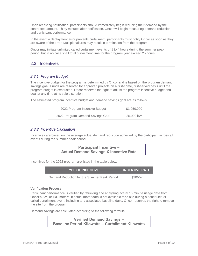Upon receiving notification, participants should immediately begin reducing their demand by the contracted amount. Thirty minutes after notification, Oncor will begin measuring demand reduction and participant performance.

In the event a deployment error prevents curtailment, participants must notify Oncor as soon as they are aware of the error. Multiple failures may result in termination from the program.

Oncor may initiate unlimited called curtailment events of 1 to 4 hours during the summer peak period, but in no case shall total curtailment time for the program year exceed 25 hours.

## <span id="page-4-0"></span>2.3 Incentives

#### <span id="page-4-1"></span>*2.3.1 Program Budget*

The incentive budget for the program is determined by Oncor and is based on the program demand savings goal. Funds are reserved for approved projects on a first-come, first-served basis until the program budget is exhausted. Oncor reserves the right to adjust the program incentive budget and goal at any time at its sole discretion.

The estimated program incentive budget and demand savings goal are as follows:

| 2022 Program Incentive Budget    | \$1,050,000 |
|----------------------------------|-------------|
| 2022 Program Demand Savings Goal | 35,000 kW   |

#### <span id="page-4-2"></span>*2.3.2 Incentive Calculation*

Incentives are based on the average actual demand reduction achieved by the participant across all events during the summer peak period.



Incentives for the 2022 program are listed in the table below:

| <b>TYPE OF INCENTIVE</b>                    | <b>INCENTIVE RATE</b> |  |
|---------------------------------------------|-----------------------|--|
| Demand Reduction for the Summer Peak Period | \$30/kW               |  |

#### **Verification Process**

Participant performance is verified by retrieving and analyzing actual 15 minute usage data from Oncor's AMI or IDR meters. If actual meter data is not available for a site during a scheduled or called curtailment event, including any associated baseline days, Oncor reserves the right to remove the site from the program.

Demand savings are calculated according to the following formula:

**Verified Demand Savings = Baseline Period Kilowatts – Curtailment Kilowatts**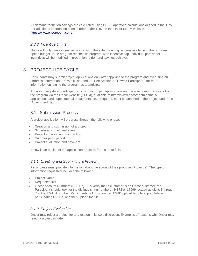All demand reduction savings are calculated using PUCT-approved calculations defined in the TRM. For additional information, please refer to the TRM on the Oncor EEPM website [https://www.oncoreepm.com/.](https://www.oncoreepm.com/)

#### <span id="page-5-0"></span>*2.3.3 Incentive Limits*

Oncor will only make incentive payments to the extent funding remains available in the program option budget. If the program reaches its program-wide incentive cap, individual participant incentives will be modified in proportion to demand savings achieved.

# <span id="page-5-1"></span>3 PROJECT LIFE CYCLE

Participants may submit project applications only after applying to the program and executing an umbrella contract and RLMSOP addendum. See Section 5, "How to Participate," for more information on joining the program as a participant.

Approved, registered participants will submit project applications and receive communications from the program via the Oncor website (EEPM), available at [https://www.oncoreepm.com/.](https://www.oncoreepm.com/) All applications and supplemental documentation, if required, must be attached to the project under the "Attachment" tab.

## <span id="page-5-2"></span>3.1 Submission Process

A project application will progress through the following phases:

- Creation and submission of a project
- Scheduled curtailment event
- Project approval and contracting
- Summer peak period
- Project evaluation and payment

Below is an outline of the application process, from start to finish.

#### <span id="page-5-3"></span>*3.1.1 Creating and Submitting a Project*

Participants must provide information about the scope of their proposed Project(s). The type of information requested includes the following:

- Project Name
- Requested kW
- Oncor Account Numbers (ESI IDs) To verify that a customer is an Oncor customer, the Participant should look for the distinguishing numbers, 44372 or 17699 located as digits 3 through 7 in the 17-digit number. Participants will download an ESIID upload template, populate with participating ESIIDs, and then upload the file.

#### <span id="page-5-4"></span>*3.1.2 Project Evaluation*

Oncor may reject a project for any reason in its sole discretion. Examples of reasons why Oncor may reject a project include: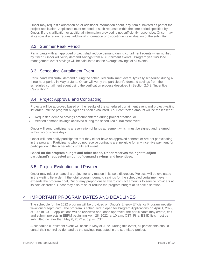Oncor may request clarification of, or additional information about, any item submitted as part of the project application. Applicants must respond to such requests within the time period specified by Oncor. If the clarification or additional information provided is not sufficiently responsive, Oncor may, at its sole discretion, request additional information or discontinue its evaluation of the submittal.

## <span id="page-6-0"></span>3.2 Summer Peak Period

Participants with an approved project shall reduce demand during curtailment events when notified by Oncor. Oncor will verify demand savings from all curtailment events. Program year kW load management event savings will be calculated as the average savings of all events.

## <span id="page-6-1"></span>3.3 Scheduled Curtailment Event

Participants will curtail demand during the scheduled curtailment event, typically scheduled during a three-hour period in May or June. Oncor will verify the participant's demand savings from the scheduled curtailment event using the verification process described in Section 2.3.2, "Incentive Calculation."

## <span id="page-6-2"></span>3.4 Project Approval and Contracting

Projects will be approved based on the results of the scheduled curtailment event and project waiting list order until the program budget has been exhausted. Your contracted amount will be the lesser of:

- Requested demand savings amount entered during project creation, or
- Verified demand savings achieved during the scheduled curtailment event.

Oncor will send participants a reservation of funds agreement which must be signed and returned within two business days.

Oncor will then notify participants that they either have an approved contract or are not participating in the program. Participants who do not receive contracts are ineligible for any incentive payment for participation in the scheduled curtailment event.

**Based on the program budget and other needs, Oncor reserves the right to adjust participant's requested amount of demand savings and incentives.**

## <span id="page-6-3"></span>3.5 Project Evaluation and Payment

Oncor may reject or cancel a project for any reason in its sole discretion. Projects will be evaluated in the waiting list order. If the total program demand savings for the scheduled curtailment event exceeds the program goal, Oncor may proportionally award contract amounts to service providers at its sole discretion. Oncor may also raise or reduce the program budget at its sole discretion.

# <span id="page-6-4"></span>4 IMPORTANT PROGRAM DATES AND DEADLINES

The schedule for the 2022 program will be provided on Oncor's Energy Efficiency Program website, [www.oncoreepm.com.](http://www.oncoreepm.com/) The program is scheduled to open for Program Applications on April 1, 2022, at 10 a.m. CST. Applications will be reviewed and, once approved, the participants may create, edit and submit projects in EEPM beginning April 28, 2022, at 10 a.m. CST. Final ESIID lists must be submitted no later than May 6, 2022 at 5 p.m. CST.

A scheduled curtailment event will occur in May or June. During this event, all participants should curtail their controlled demand by the savings requested in the submitted project.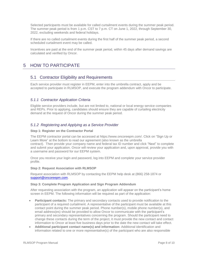Selected participants must be available for called curtailment events during the summer peak period. The summer peak period is from 1 p.m. CST to 7 p.m. CT on June 1, 2022, through September 30, 2022, excluding weekends and federal holidays.

If there are no called curtailment events during the first half of the summer peak period, a second scheduled curtailment event may be called.

Incentives are paid at the end of the summer peak period, within 45 days after demand savings are calculated and verified by Oncor.

# <span id="page-7-1"></span><span id="page-7-0"></span>5 HOW TO PARTICIPATE

#### 5.1 Contractor Eligibility and Requirements

Each service provider must register in EEPM, enter into the umbrella contract, apply and be accepted to participate in RLMSOP, and execute the program addendum with Oncor to participate.

#### <span id="page-7-2"></span>*5.1.1 Contractor Application Criteria*

Eligible service providers include, but are not limited to, national or local energy service companies and REPs. Prior to applying, candidates should ensure they are capable of curtailing electricity demand at the request of Oncor during the summer peak period.

#### <span id="page-7-3"></span>*5.1.2 Registering and Applying as a Service Provider*

#### **Step 1: Register on the Contractor Portal**

The EEPM contractor portal can be accessed at [https://www.oncoreepm.com/.](https://www.oncoreepm.com/) Click on "Sign Up or Learn More" at the bottom to read our agreement (also known as the umbrella contract). Then provide your company name and federal tax ID number and click "Next" to complete and submit your application. Oncor will review your application and, upon approval, provide you with a username and password for our EEPM system.

Once you receive your login and password, log into EEPM and complete your service provider profile.

#### **Step 2: Request Association with RLMSOP**

Request association with RLMSOP by contacting the EEPM help desk at (866) 258-1874 or [support@oncoreepm.com.](mailto:support@oncoreepm.com)

#### **Step 3: Complete Program Application and Sign Program Addendum**

After requesting association with the program, an application will appear on the participant's home screen in EEPM. The following information will be required as part of the application:

- **Participant contacts:** The primary and secondary contacts used to provide notification to the participant of a required curtailment. A representative of the participant must be available at this contact point during the summer peak period. Phone number(s), mobile phone number(s), and email address(es) should be provided to allow Oncor to communicate with the participant's primary and secondary representatives concerning the program. Should the participant need to change these contacts during the term of the project, it must provide the new contact and contact information to Oncor at least five business days prior to the date the new contact will take effect.
- **Additional participant contact name(s) and information:** Additional identification and information related to one or more representative(s) of the participant who are also responsible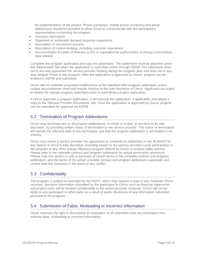for implementation of the project. Phone number(s), mobile phone number(s) and email address(es) should be provided to allow Oncor to communicate with the participant's representative concerning the program.

- Company description.
- Statement of residential demand response experience.
- Description of recruitment process.
- Description of control strategy, including customer experience.
- Documentation of Letter of Release (LOA) or equivalent for authorization of energy consumption data release.

Complete the program application and sign the addendum. The addendum must be attached under the "Attachment" tab when the application is submitted online through EEPM. The addendum does not in any way guarantee the service provider funding during the program year and does not in any way obligate Oncor to the program. After the application is approved by Oncor, projects can be entered in EEPM and submitted.

Oncor will not entertain proposed modifications to the standard offer program addendum unless unique circumstances merit and require revision at the sole discretion of Oncor. Applicants are urged to review the sample program addendum prior to submitting a project application.

If Oncor approves a program application, it will execute the addendum, if applicable, and attach a copy to the "Service Provider Documents" tab. Once the application is approved by Oncor, projects can be submitted for approval via EEPM.

## <span id="page-8-0"></span>5.2 Termination of Program Addendums

Oncor may terminate any or all program addendums, in whole or in part, at any time in its sole discretion, by providing written notice of termination to the service provider. The notice of termination will specify the effective date of any termination and that the program addendum is terminated in its entirety.

Oncor may refuse a service provider the opportunity to complete an addendum in the RLMSOP for any reason in Oncor's sole discretion, including based on the service provider's prior participation in the program or any other energy efficiency program offered by Oncor or another utility sponsor. Please refer to the umbrella contract and program addendum for actual termination provisions. Please note this section is only a summary of certain terms in the umbrella contract and program addendum, and the terms of the actual umbrella contract and program addendum supersede and control over this summary in the event of any conflict.

## <span id="page-8-1"></span>5.3 Confidentiality

The program is subject to oversight by the PUCT, which may request a copy of any materials Oncor receives. Sensitive information submitted by the participant to Oncor such as financial statements and project costs will be treated confidentially to the extent possible. However, Oncor will not be liable to any participant or other party as a result of public disclosure of any information submitted pursuant to the program.

## <span id="page-8-2"></span>5.4 Submission of False, Misleading or Incorrect Information

Oncor reserves the right to discontinue its evaluation of all submittals from any participant who submits false, misleading or incorrect information.